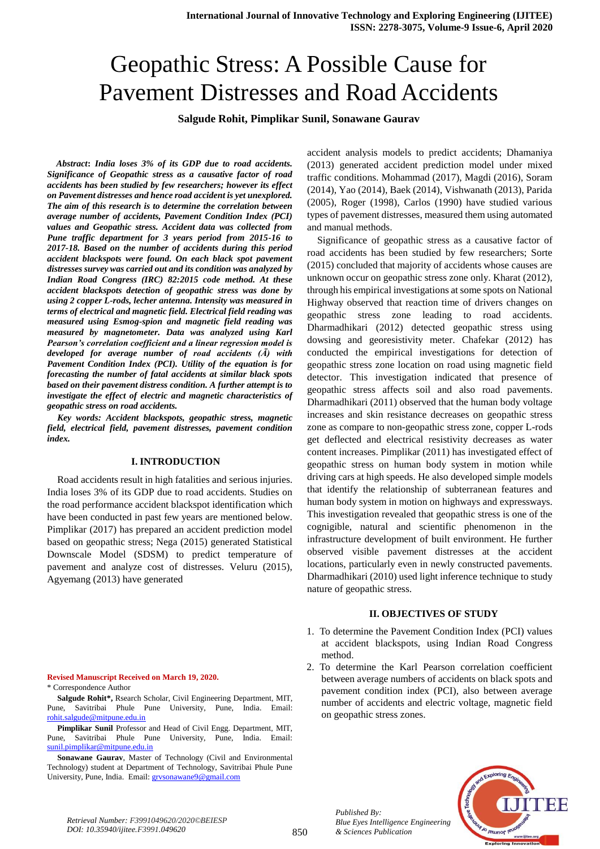# Geopathic Stress: A Possible Cause for Pavement Distresses and Road Accidents

**Salgude Rohit, Pimplikar Sunil, Sonawane Gaurav**

 *Abstract***:** *India loses 3% of its GDP due to road accidents. Significance of Geopathic stress as a causative factor of road accidents has been studied by few researchers; however its effect on Pavement distresses and hence road accident is yet unexplored. The aim of this research is to determine the correlation between average number of accidents, Pavement Condition Index (PCI) values and Geopathic stress. Accident data was collected from Pune traffic department for 3 years period from 2015-16 to 2017-18. Based on the number of accidents during this period accident blackspots were found. On each black spot pavement distresses survey was carried out and its condition was analyzed by Indian Road Congress (IRC) 82:2015 code method. At these accident blackspots detection of geopathic stress was done by using 2 copper L-rods, lecher antenna. Intensity was measured in terms of electrical and magnetic field. Electrical field reading was measured using Esmog-spion and magnetic field reading was measured by magnetometer. Data was analyzed using Karl Pearson's correlation coefficient and a linear regression model is developed for average number of road accidents (Ā) with Pavement Condition Index (PCI). Utility of the equation is for forecasting the number of fatal accidents at similar black spots based on their pavement distress condition. A further attempt is to investigate the effect of electric and magnetic characteristics of geopathic stress on road accidents.*

*Key words: Accident blackspots, geopathic stress, magnetic field, electrical field, pavement distresses, pavement condition index.* 

## **I. INTRODUCTION**

 Road accidents result in high fatalities and serious injuries. India loses 3% of its GDP due to road accidents. Studies on the road performance accident blackspot identification which have been conducted in past few years are mentioned below. Pimplikar (2017) has prepared an accident prediction model based on geopathic stress; Nega (2015) generated Statistical Downscale Model (SDSM) to predict temperature of pavement and analyze cost of distresses. Veluru (2015), Agyemang (2013) have generated

**Revised Manuscript Received on March 19, 2020.**  \* Correspondence Author

**Salgude Rohit\*,** Rsearch Scholar, Civil Engineering Department, MIT, Pune, Savitribai Phule Pune University, Pune, India. Email: [rohit.salgude@mitpune.edu.in](mailto:rohit.salgude@mitpune.edu.in)

**Pimplikar Sunil** Professor and Head of Civil Engg. Department, MIT, Pune, Savitribai Phule Pune University, Pune, India. Email: [sunil.pimplikar@mitpune.edu.in](mailto:sunil.pimplikar@mitpune.edu.in)

**Sonawane Gaurav**, Master of Technology (Civil and Environmental Technology) student at Department of Technology, Savitribai Phule Pune University, Pune, India. Email: grysonawane9@gmail.com

accident analysis models to predict accidents; Dhamaniya (2013) generated accident prediction model under mixed traffic conditions. Mohammad (2017), Magdi (2016), Soram (2014), Yao (2014), Baek (2014), Vishwanath (2013), Parida (2005), Roger (1998), Carlos (1990) have studied various types of pavement distresses, measured them using automated and manual methods.

 Significance of geopathic stress as a causative factor of road accidents has been studied by few researchers; Sorte (2015) concluded that majority of accidents whose causes are unknown occur on geopathic stress zone only. Kharat (2012), through his empirical investigations at some spots on National Highway observed that reaction time of drivers changes on geopathic stress zone leading to road accidents. Dharmadhikari (2012) detected geopathic stress using dowsing and georesistivity meter. Chafekar (2012) has conducted the empirical investigations for detection of geopathic stress zone location on road using magnetic field detector. This investigation indicated that presence of geopathic stress affects soil and also road pavements. Dharmadhikari (2011) observed that the human body voltage increases and skin resistance decreases on geopathic stress zone as compare to non-geopathic stress zone, copper L-rods get deflected and electrical resistivity decreases as water content increases. Pimplikar (2011) has investigated effect of geopathic stress on human body system in motion while driving cars at high speeds. He also developed simple models that identify the relationship of subterranean features and human body system in motion on highways and expressways. This investigation revealed that geopathic stress is one of the cognigible, natural and scientific phenomenon in the infrastructure development of built environment. He further observed visible pavement distresses at the accident locations, particularly even in newly constructed pavements. Dharmadhikari (2010) used light inference technique to study nature of geopathic stress.

#### **II. OBJECTIVES OF STUDY**

- 1. To determine the Pavement Condition Index (PCI) values at accident blackspots, using Indian Road Congress method.
- 2. To determine the Karl Pearson correlation coefficient between average numbers of accidents on black spots and pavement condition index (PCI), also between average number of accidents and electric voltage, magnetic field on geopathic stress zones.



850 *Published By: Blue Eyes Intelligence Engineering & Sciences Publication*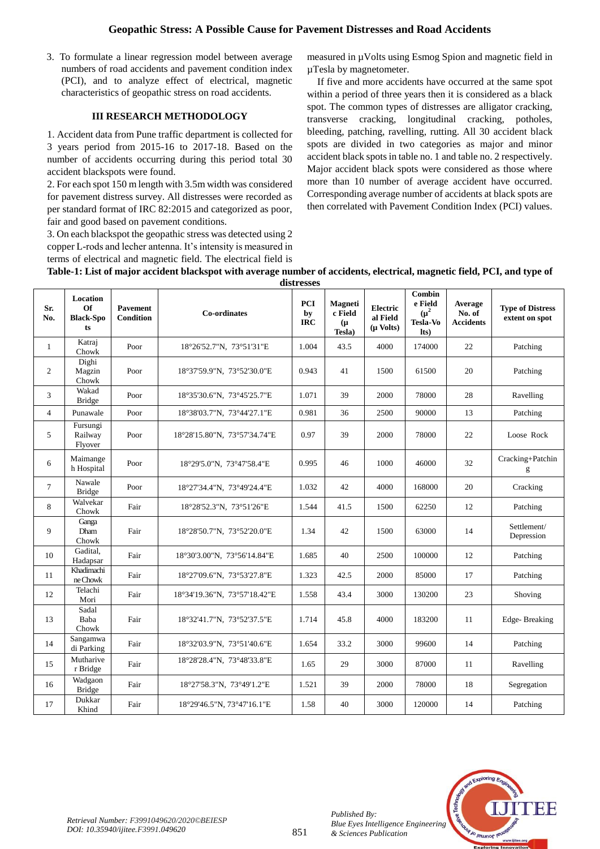3. To formulate a linear regression model between average numbers of road accidents and pavement condition index (PCI), and to analyze effect of electrical, magnetic characteristics of geopathic stress on road accidents.

## **III RESEARCH METHODOLOGY**

1. Accident data from Pune traffic department is collected for 3 years period from 2015-16 to 2017-18. Based on the number of accidents occurring during this period total 30 accident blackspots were found.

2. For each spot 150 m length with 3.5m width was considered for pavement distress survey. All distresses were recorded as per standard format of IRC 82:2015 and categorized as poor, fair and good based on pavement conditions.

3. On each blackspot the geopathic stress was detected using 2 copper L-rods and lecher antenna. It's intensity is measured in terms of electrical and magnetic field. The electrical field is measured in µVolts using Esmog Spion and magnetic field in µTesla by magnetometer.

 If five and more accidents have occurred at the same spot within a period of three years then it is considered as a black spot. The common types of distresses are alligator cracking, transverse cracking, longitudinal cracking, potholes, bleeding, patching, ravelling, rutting. All 30 accident black spots are divided in two categories as major and minor accident black spots in table no. 1 and table no. 2 respectively. Major accident black spots were considered as those where more than 10 number of average accident have occurred. Corresponding average number of accidents at black spots are then correlated with Pavement Condition Index (PCI) values.

| Table-1: List of major accident blackspot with average number of accidents, electrical, magnetic field, PCI, and type of |  |
|--------------------------------------------------------------------------------------------------------------------------|--|
| distresses                                                                                                               |  |

|                | undu voor                                |                                     |                              |                                |                                               |                                              |                                                           |                                       |                                           |
|----------------|------------------------------------------|-------------------------------------|------------------------------|--------------------------------|-----------------------------------------------|----------------------------------------------|-----------------------------------------------------------|---------------------------------------|-------------------------------------------|
| Sr.<br>No.     | Location<br>Of<br><b>Black-Spo</b><br>ts | <b>Pavement</b><br><b>Condition</b> | <b>Co-ordinates</b>          | <b>PCI</b><br>by<br><b>IRC</b> | <b>Magneti</b><br>c Field<br>$(\mu$<br>Tesla) | <b>Electric</b><br>al Field<br>$(\mu$ Volts) | Combin<br>e Field<br>$(\mu^2)$<br><b>Tesla-Vo</b><br>Its) | Average<br>No. of<br><b>Accidents</b> | <b>Type of Distress</b><br>extent on spot |
| $\mathbf{1}$   | Katraj<br>Chowk                          | Poor                                | 18°26'52.7"N, 73°51'31"E     | 1.004                          | 43.5                                          | 4000                                         | 174000                                                    | 22                                    | Patching                                  |
| $\overline{c}$ | Dighi<br>Magzin<br>Chowk                 | Poor                                | 18°37'59.9"N, 73°52'30.0"E   | 0.943                          | 41                                            | 1500                                         | 61500                                                     | 20                                    | Patching                                  |
| 3              | Wakad<br><b>Bridge</b>                   | Poor                                | 18°35'30.6"N, 73°45'25.7"E   | 1.071                          | 39                                            | 2000                                         | 78000                                                     | 28                                    | Ravelling                                 |
| $\overline{4}$ | Punawale                                 | Poor                                | 18°38'03.7"N, 73°44'27.1"E   | 0.981                          | 36                                            | 2500                                         | 90000                                                     | 13                                    | Patching                                  |
| 5              | Fursungi<br>Railway<br>Flyover           | Poor                                | 18°28'15.80"N, 73°57'34.74"E | 0.97                           | 39                                            | 2000                                         | 78000                                                     | 22                                    | Loose Rock                                |
| 6              | Maimange<br>h Hospital                   | Poor                                | 18°29'5.0"N, 73°47'58.4"E    | 0.995                          | 46                                            | 1000                                         | 46000                                                     | 32                                    | Cracking+Patchin<br>g                     |
| $\overline{7}$ | Nawale<br><b>Bridge</b>                  | Poor                                | 18°27'34.4"N, 73°49'24.4"E   | 1.032                          | 42                                            | 4000                                         | 168000                                                    | 20                                    | Cracking                                  |
| 8              | Walvekar<br>Chowk                        | Fair                                | 18°28'52.3"N, 73°51'26"E     | 1.544                          | 41.5                                          | 1500                                         | 62250                                                     | 12                                    | Patching                                  |
| 9              | Ganga<br>Dham<br>Chowk                   | Fair                                | 18°28'50.7"N, 73°52'20.0"E   | 1.34                           | 42                                            | 1500                                         | 63000                                                     | 14                                    | Settlement/<br>Depression                 |
| 10             | Gadital,<br>Hadapsar                     | Fair                                | 18°30'3.00"N, 73°56'14.84"E  | 1.685                          | 40                                            | 2500                                         | 100000                                                    | 12                                    | Patching                                  |
| 11             | Khadimachi<br>ne Chowk                   | Fair                                | 18°27'09.6"N, 73°53'27.8"E   | 1.323                          | 42.5                                          | 2000                                         | 85000                                                     | 17                                    | Patching                                  |
| 12             | Telachi<br>Mori                          | Fair                                | 18°34'19.36"N, 73°57'18.42"E | 1.558                          | 43.4                                          | 3000                                         | 130200                                                    | 23                                    | Shoving                                   |
| 13             | Sadal<br>Baba<br>Chowk                   | Fair                                | 18°32'41.7"N, 73°52'37.5"E   | 1.714                          | 45.8                                          | 4000                                         | 183200                                                    | 11                                    | Edge-Breaking                             |
| 14             | Sangamwa<br>di Parking                   | Fair                                | 18°32'03.9"N, 73°51'40.6"E   | 1.654                          | 33.2                                          | 3000                                         | 99600                                                     | 14                                    | Patching                                  |
| 15             | Mutharive<br>r Bridge                    | Fair                                | 18°28'28.4"N, 73°48'33.8"E   | 1.65                           | 29                                            | 3000                                         | 87000                                                     | 11                                    | Ravelling                                 |
| 16             | Wadgaon<br><b>Bridge</b>                 | Fair                                | 18°27'58.3"N, 73°49'1.2"E    | 1.521                          | 39                                            | 2000                                         | 78000                                                     | 18                                    | Segregation                               |
| 17             | Dukkar<br>Khind                          | Fair                                | 18°29'46.5"N, 73°47'16.1"E   | 1.58                           | 40                                            | 3000                                         | 120000                                                    | 14                                    | Patching                                  |

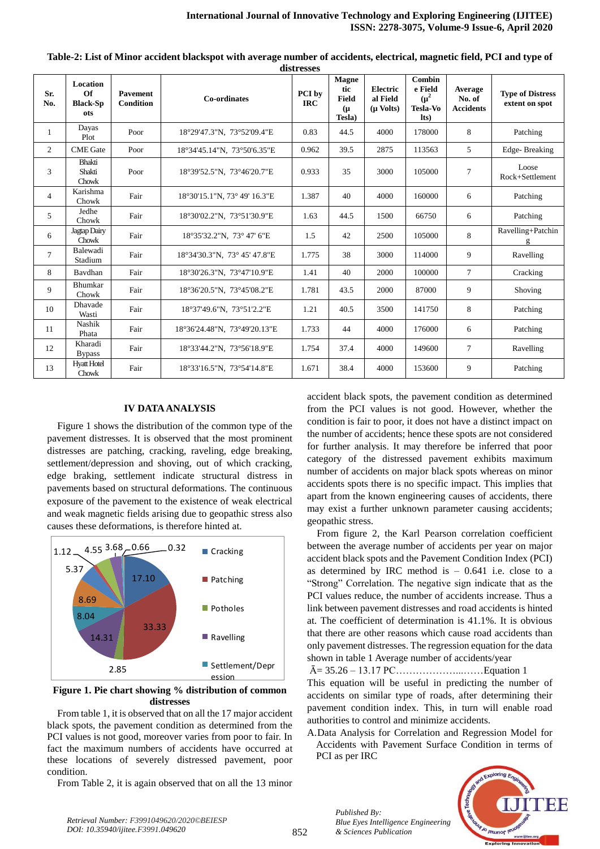| Sr.<br>No.     | <b>Location</b><br>$\Omega$ f<br><b>Black-Sp</b><br>ots | <b>Pavement</b><br><b>Condition</b> | Co-ordinates                 | PCI by<br><b>IRC</b> | <b>Magne</b><br>tic<br><b>Field</b><br>$(\mu$<br>Tesla) | Electric<br>al Field<br>$(\mu$ Volts) | <b>Combin</b><br>e Field<br>$(\mu^2)$<br><b>Tesla-Vo</b><br>Its) | Average<br>No. of<br><b>Accidents</b> | <b>Type of Distress</b><br>extent on spot |
|----------------|---------------------------------------------------------|-------------------------------------|------------------------------|----------------------|---------------------------------------------------------|---------------------------------------|------------------------------------------------------------------|---------------------------------------|-------------------------------------------|
| 1              | Dayas<br>Plot                                           | Poor                                | 18°29'47.3"N, 73°52'09.4"E   | 0.83                 | 44.5                                                    | 4000                                  | 178000                                                           | 8                                     | Patching                                  |
| 2              | <b>CME</b> Gate                                         | Poor                                | 18°34'45.14"N, 73°50'6.35"E  | 0.962                | 39.5                                                    | 2875                                  | 113563                                                           | 5                                     | Edge-Breaking                             |
| 3              | <b>Bhakti</b><br>Shakti<br>Chowk                        | Poor                                | 18°39'52.5"N, 73°46'20.7"E   | 0.933                | 35                                                      | 3000                                  | 105000                                                           | 7                                     | Loose<br>Rock+Settlement                  |
| $\overline{4}$ | Karishma<br>Chowk                                       | Fair                                | 18°30'15.1"N, 73° 49' 16.3"E | 1.387                | 40                                                      | 4000                                  | 160000                                                           | 6                                     | Patching                                  |
| 5              | Jedhe<br>Chowk                                          | Fair                                | 18°30'02.2"N, 73°51'30.9"E   | 1.63                 | 44.5                                                    | 1500                                  | 66750                                                            | 6                                     | Patching                                  |
| 6              | Jagtap Dairy<br>Chowk                                   | Fair                                | 18°35'32.2"N, 73°47'6"E      | 1.5                  | 42                                                      | 2500                                  | 105000                                                           | 8                                     | Ravelling+Patchin                         |
| $\tau$         | Balewadi<br>Stadium                                     | Fair                                | 18°34'30.3"N, 73°45'47.8"E   | 1.775                | 38                                                      | 3000                                  | 114000                                                           | 9                                     | Ravelling                                 |
| 8              | Bavdhan                                                 | Fair                                | 18°30'26.3"N, 73°47'10.9"E   | 1.41                 | 40                                                      | 2000                                  | 100000                                                           | $\tau$                                | Cracking                                  |
| 9              | Bhumkar<br>Chowk                                        | Fair                                | 18°36'20.5"N, 73°45'08.2"E   | 1.781                | 43.5                                                    | 2000                                  | 87000                                                            | 9                                     | Shoving                                   |
| 10             | Dhavade<br>Wasti                                        | Fair                                | 18°37'49.6"N, 73°51'2.2"E    | 1.21                 | 40.5                                                    | 3500                                  | 141750                                                           | 8                                     | Patching                                  |
| 11             | Nashik<br>Phata                                         | Fair                                | 18°36'24.48"N, 73°49'20.13"E | 1.733                | 44                                                      | 4000                                  | 176000                                                           | 6                                     | Patching                                  |
| 12             | Kharadi<br><b>Bypass</b>                                | Fair                                | 18°33'44.2"N, 73°56'18.9"E   | 1.754                | 37.4                                                    | 4000                                  | 149600                                                           | $\tau$                                | Ravelling                                 |
| 13             | <b>Hyatt Hotel</b><br>Chowk                             | Fair                                | 18°33'16.5"N, 73°54'14.8"E   | 1.671                | 38.4                                                    | 4000                                  | 153600                                                           | 9                                     | Patching                                  |

**Table-2: List of Minor accident blackspot with average number of accidents, electrical, magnetic field, PCI and type of distresses**

## **IV DATA ANALYSIS**

 Figure 1 shows the distribution of the common type of the pavement distresses. It is observed that the most prominent distresses are patching, cracking, raveling, edge breaking, settlement/depression and shoving, out of which cracking, edge braking, settlement indicate structural distress in pavements based on structural deformations. The continuous exposure of the pavement to the existence of weak electrical and weak magnetic fields arising due to geopathic stress also causes these deformations, is therefore hinted at.



**Figure 1. Pie chart showing % distribution of common distresses**

 From table 1, it is observed that on all the 17 major accident black spots, the pavement condition as determined from the PCI values is not good, moreover varies from poor to fair. In fact the maximum numbers of accidents have occurred at these locations of severely distressed pavement, poor condition.

From Table 2, it is again observed that on all the 13 minor

accident black spots, the pavement condition as determined from the PCI values is not good. However, whether the condition is fair to poor, it does not have a distinct impact on the number of accidents; hence these spots are not considered for further analysis. It may therefore be inferred that poor category of the distressed pavement exhibits maximum number of accidents on major black spots whereas on minor accidents spots there is no specific impact. This implies that apart from the known engineering causes of accidents, there may exist a further unknown parameter causing accidents; geopathic stress.

 From figure 2, the Karl Pearson correlation coefficient between the average number of accidents per year on major accident black spots and the Pavement Condition Index (PCI) as determined by IRC method is  $-0.641$  i.e. close to a "Strong" Correlation. The negative sign indicate that as the PCI values reduce, the number of accidents increase. Thus a link between pavement distresses and road accidents is hinted at. The coefficient of determination is 41.1%. It is obvious that there are other reasons which cause road accidents than only pavement distresses. The regression equation for the data shown in table 1 Average number of accidents/year

Ā= 35.26 – 13.17 PC………………...……Equation 1

This equation will be useful in predicting the number of accidents on similar type of roads, after determining their pavement condition index. This, in turn will enable road authorities to control and minimize accidents.

A.Data Analysis for Correlation and Regression Model for Accidents with Pavement Surface Condition in terms of PCI as per IRC



*Published By:*

*& Sciences Publication* 

*Blue Eyes Intelligence Engineering*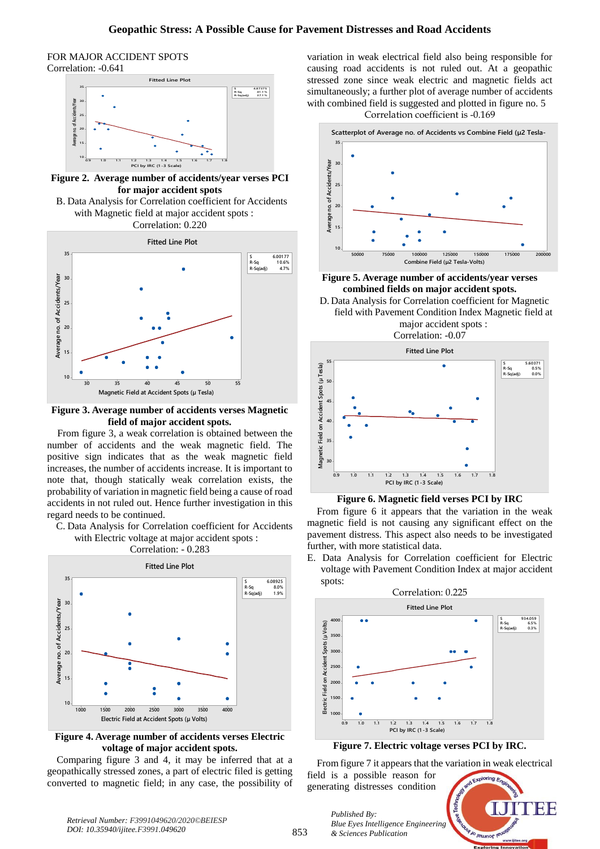#### FOR MAJOR ACCIDENT SPOTS Correlation: -0.641



**Figure 2. Average number of accidents/year verses PCI for major accident spots**

B. Data Analysis for Correlation coefficient for Accidents with Magnetic field at major accident spots : Correlation: 0.220



**Figure 3. Average number of accidents verses Magnetic field of major accident spots.**

 From figure 3, a weak correlation is obtained between the number of accidents and the weak magnetic field. The positive sign indicates that as the weak magnetic field increases, the number of accidents increase. It is important to note that, though statically weak correlation exists, the probability of variation in magnetic field being a cause of road accidents in not ruled out. Hence further investigation in this regard needs to be continued.

C. Data Analysis for Correlation coefficient for Accidents with Electric voltage at major accident spots :





**Figure 4. Average number of accidents verses Electric voltage of major accident spots.**

 Comparing figure 3 and 4, it may be inferred that at a geopathically stressed zones, a part of electric filed is getting converted to magnetic field; in any case, the possibility of variation in weak electrical field also being responsible for causing road accidents is not ruled out. At a geopathic stressed zone since weak electric and magnetic fields act simultaneously; a further plot of average number of accidents with combined field is suggested and plotted in figure no. 5





**Figure 5. Average number of accidents/year verses combined fields on major accident spots.**

D. Data Analysis for Correlation coefficient for Magnetic field with Pavement Condition Index Magnetic field at major accident spots : Correlation: -0.07



**Figure 6. Magnetic field verses PCI by IRC**

 From figure 6 it appears that the variation in the weak magnetic field is not causing any significant effect on the pavement distress. This aspect also needs to be investigated further, with more statistical data.

E. Data Analysis for Correlation coefficient for Electric voltage with Pavement Condition Index at major accident spots:



**Figure 7. Electric voltage verses PCI by IRC.**

 From figure 7 it appears that the variation in weak electrical field is a possible reason for

TNEIS *Blue Eyes Intelligence Engineering*  Jo leunor le

*Published By:*

*& Sciences Publication* 

generating distresses condition